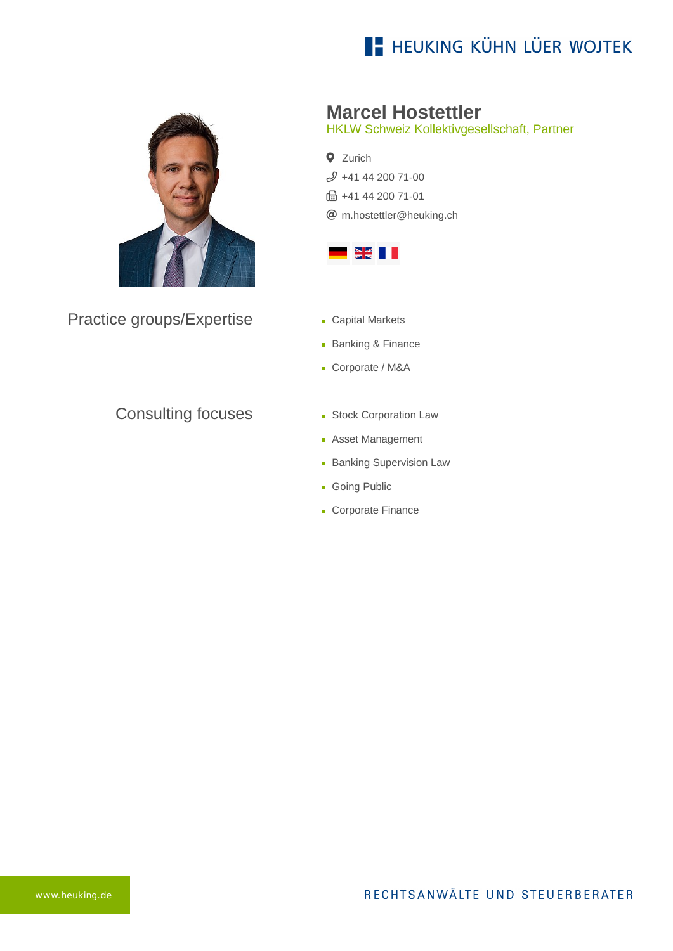## **E- HEUKING KÜHN LÜER WOJTEK**



Practice groups/Expertise

## Consulting focuses

**Marcel Hostettler**

HKLW Schweiz Kollektivgesellschaft, Partner

**Q** Zurich [+41 44 200 71-00](tel:+41442007100) **fm** +41 44 200 71-01 [m.hostettler@heuking.ch](mailto:m.hostettler@heuking.ch?subject=Contact%20via%20website%20heuking.de)



- **Capital Markets**
- **Banking & Finance**
- Corporate / M&A
- **Stock Corporation Law**
- **Asset Management**
- **Banking Supervision Law**
- **Going Public**
- Corporate Finance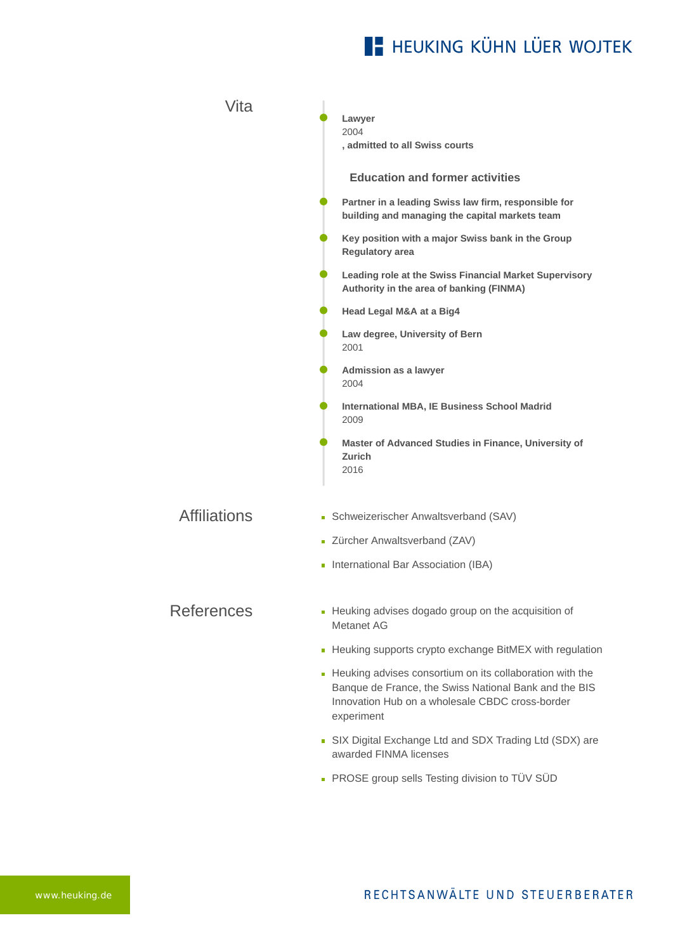## **E- HEUKING KÜHN LÜER WOJTEK**

| Vita                | Lawyer<br>2004<br>, admitted to all Swiss courts                                                                                                                                     |
|---------------------|--------------------------------------------------------------------------------------------------------------------------------------------------------------------------------------|
|                     | <b>Education and former activities</b>                                                                                                                                               |
|                     | Partner in a leading Swiss law firm, responsible for<br>building and managing the capital markets team                                                                               |
|                     | Key position with a major Swiss bank in the Group<br>Regulatory area                                                                                                                 |
|                     | Leading role at the Swiss Financial Market Supervisory<br>Authority in the area of banking (FINMA)                                                                                   |
|                     | Head Legal M&A at a Big4                                                                                                                                                             |
|                     | Law degree, University of Bern<br>2001                                                                                                                                               |
|                     | Admission as a lawyer<br>2004                                                                                                                                                        |
|                     | <b>International MBA, IE Business School Madrid</b><br>2009                                                                                                                          |
|                     | Master of Advanced Studies in Finance, University of<br>Zurich<br>2016                                                                                                               |
| <b>Affiliations</b> | Schweizerischer Anwaltsverband (SAV)                                                                                                                                                 |
|                     | - Zürcher Anwaltsverband (ZAV)                                                                                                                                                       |
|                     | International Bar Association (IBA)                                                                                                                                                  |
| <b>References</b>   | - Heuking advises dogado group on the acquisition of<br>Metanet AG                                                                                                                   |
|                     | - Heuking supports crypto exchange BitMEX with regulation                                                                                                                            |
|                     | - Heuking advises consortium on its collaboration with the<br>Banque de France, the Swiss National Bank and the BIS<br>Innovation Hub on a wholesale CBDC cross-border<br>experiment |
|                     | • SIX Digital Exchange Ltd and SDX Trading Ltd (SDX) are<br>awarded FINMA licenses                                                                                                   |
|                     |                                                                                                                                                                                      |

[PROSE group sells Testing division to TÜV SÜD](https://www.heuking.de/en/lawyers/detail/pdf-download.html?lawyer=1124&cHash=2545e73ba05e17b89f94f74d758d7e3a)